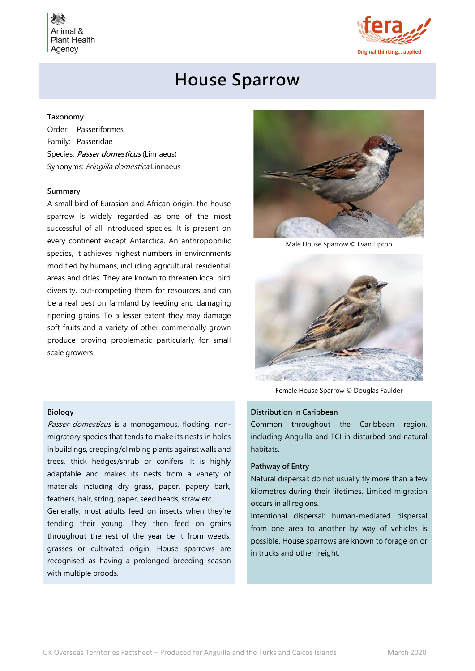Animal & **Plant Health** Agency



# House Sparrow

## Taxonomy

Order: Passeriformes Family: Passeridae Species: Passer domesticus (Linnaeus) Synonyms: Fringilla domestica Linnaeus

## Summary

A small bird of Eurasian and African origin, the house sparrow is widely regarded as one of the most successful of all introduced species. It is present on every continent except Antarctica. An anthropophilic species, it achieves highest numbers in environments modified by humans, including agricultural, residential areas and cities. They are known to threaten local bird diversity, out-competing them for resources and can be a real pest on farmland by feeding and damaging ripening grains. To a lesser extent they may damage soft fruits and a variety of other commercially grown produce proving problematic particularly for small scale growers.



Male House Sparrow © Evan Lipton



Female House Sparrow © Douglas Faulder

## Distribution in Caribbean

Common throughout the Caribbean region, including Anguilla and TCI in disturbed and natural habitats.

## Pathway of Entry

Natural dispersal: do not usually fly more than a few kilometres during their lifetimes. Limited migration occurs in all regions.

Intentional dispersal: human-mediated dispersal from one area to another by way of vehicles is possible. House sparrows are known to forage on or in trucks and other freight.

#### Biology

Passer domesticus is a monogamous, flocking, nonmigratory species that tends to make its nests in holes in buildings, creeping/climbing plants against walls and trees, thick hedges/shrub or conifers. It is highly adaptable and makes its nests from a variety of materials including dry grass, paper, papery bark, feathers, hair, string, paper, seed heads, straw etc.

Generally, most adults feed on insects when they're tending their young. They then feed on grains throughout the rest of the year be it from weeds, grasses or cultivated origin. House sparrows are recognised as having a prolonged breeding season with multiple broods.